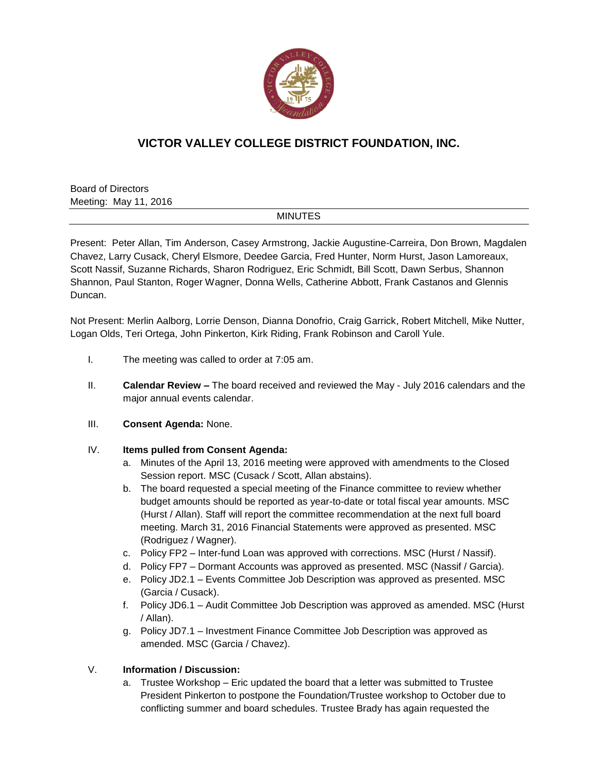

# **VICTOR VALLEY COLLEGE DISTRICT FOUNDATION, INC.**

Board of Directors Meeting: May 11, 2016

#### MINUTES

Present: Peter Allan, Tim Anderson, Casey Armstrong, Jackie Augustine-Carreira, Don Brown, Magdalen Chavez, Larry Cusack, Cheryl Elsmore, Deedee Garcia, Fred Hunter, Norm Hurst, Jason Lamoreaux, Scott Nassif, Suzanne Richards, Sharon Rodriguez, Eric Schmidt, Bill Scott, Dawn Serbus, Shannon Shannon, Paul Stanton, Roger Wagner, Donna Wells, Catherine Abbott, Frank Castanos and Glennis Duncan.

Not Present: Merlin Aalborg, Lorrie Denson, Dianna Donofrio, Craig Garrick, Robert Mitchell, Mike Nutter, Logan Olds, Teri Ortega, John Pinkerton, Kirk Riding, Frank Robinson and Caroll Yule.

- I. The meeting was called to order at 7:05 am.
- II. **Calendar Review –** The board received and reviewed the May July 2016 calendars and the major annual events calendar.
- III. **Consent Agenda:** None.

#### IV. **Items pulled from Consent Agenda:**

- a. Minutes of the April 13, 2016 meeting were approved with amendments to the Closed Session report. MSC (Cusack / Scott, Allan abstains).
- b. The board requested a special meeting of the Finance committee to review whether budget amounts should be reported as year-to-date or total fiscal year amounts. MSC (Hurst / Allan). Staff will report the committee recommendation at the next full board meeting. March 31, 2016 Financial Statements were approved as presented. MSC (Rodriguez / Wagner).
- c. Policy FP2 Inter-fund Loan was approved with corrections. MSC (Hurst / Nassif).
- d. Policy FP7 Dormant Accounts was approved as presented. MSC (Nassif / Garcia).
- e. Policy JD2.1 Events Committee Job Description was approved as presented. MSC (Garcia / Cusack).
- f. Policy JD6.1 Audit Committee Job Description was approved as amended. MSC (Hurst / Allan).
- g. Policy JD7.1 Investment Finance Committee Job Description was approved as amended. MSC (Garcia / Chavez).

## V. **Information / Discussion:**

a. Trustee Workshop – Eric updated the board that a letter was submitted to Trustee President Pinkerton to postpone the Foundation/Trustee workshop to October due to conflicting summer and board schedules. Trustee Brady has again requested the